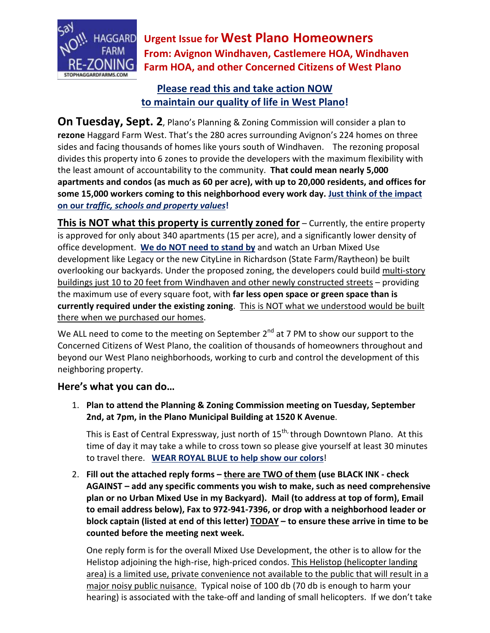

**Urgent Issue for West Plano Homeowners From: Avignon Windhaven, Castlemere HOA, Windhaven Farm HOA, and other Concerned Citizens of West Plano**

## **Please read this and take action NOW to maintain our quality of life in West Plano!**

**On Tuesday, Sept. 2**, Plano's Planning & Zoning Commission will consider a plan to **rezone** Haggard Farm West. That's the 280 acres surrounding Avignon's 224 homes on three sides and facing thousands of homes like yours south of Windhaven. The rezoning proposal divides this property into 6 zones to provide the developers with the maximum flexibility with the least amount of accountability to the community. **That could mean nearly 5,000 apartments and condos (as much as 60 per acre), with up to 20,000 residents, and offices for some 15,000 workers coming to this neighborhood every work day. Just think of the impact on our** *traffic, schools and property values***!**

**This is NOT what this property is currently zoned for** – Currently, the entire property is approved for only about 340 apartments (15 per acre), and a significantly lower density of office development. **We do NOT need to stand by** and watch an Urban Mixed Use development like Legacy or the new CityLine in Richardson (State Farm/Raytheon) be built overlooking our backyards. Under the proposed zoning, the developers could build multi-story buildings just 10 to 20 feet from Windhaven and other newly constructed streets – providing the maximum use of every square foot, with **far less open space or green space than is currently required under the existing zoning**. This is NOT what we understood would be built there when we purchased our homes.

We ALL need to come to the meeting on September  $2^{nd}$  at 7 PM to show our support to the Concerned Citizens of West Plano, the coalition of thousands of homeowners throughout and beyond our West Plano neighborhoods, working to curb and control the development of this neighboring property.

## **Here's what you can do…**

1. **Plan to attend the Planning & Zoning Commission meeting on Tuesday, September 2nd, at 7pm, in the Plano Municipal Building at 1520 K Avenue**.

This is East of Central Expressway, just north of  $15^{th}$ , through Downtown Plano. At this time of day it may take a while to cross town so please give yourself at least 30 minutes to travel there. **WEAR ROYAL BLUE to help show our colors**!

2. **Fill out the attached reply forms – there are TWO of them (use BLACK INK - check AGAINST – add any specific comments you wish to make, such as need comprehensive plan or no Urban Mixed Use in my Backyard). Mail (to address at top of form), Email to email address below), Fax to 972-941-7396, or drop with a neighborhood leader or block captain (listed at end of this letter) TODAY – to ensure these arrive in time to be counted before the meeting next week.**

One reply form is for the overall Mixed Use Development, the other is to allow for the Helistop adjoining the high-rise, high-priced condos. This Helistop (helicopter landing area) is a limited use, private convenience not available to the public that will result in a major noisy public nuisance. Typical noise of 100 db (70 db is enough to harm your hearing) is associated with the take-off and landing of small helicopters. If we don't take